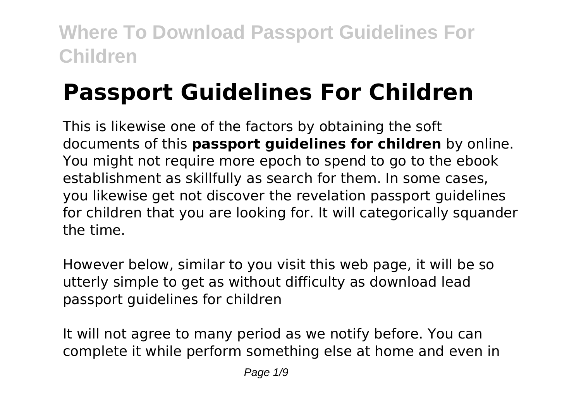# **Passport Guidelines For Children**

This is likewise one of the factors by obtaining the soft documents of this **passport guidelines for children** by online. You might not require more epoch to spend to go to the ebook establishment as skillfully as search for them. In some cases, you likewise get not discover the revelation passport guidelines for children that you are looking for. It will categorically squander the time.

However below, similar to you visit this web page, it will be so utterly simple to get as without difficulty as download lead passport guidelines for children

It will not agree to many period as we notify before. You can complete it while perform something else at home and even in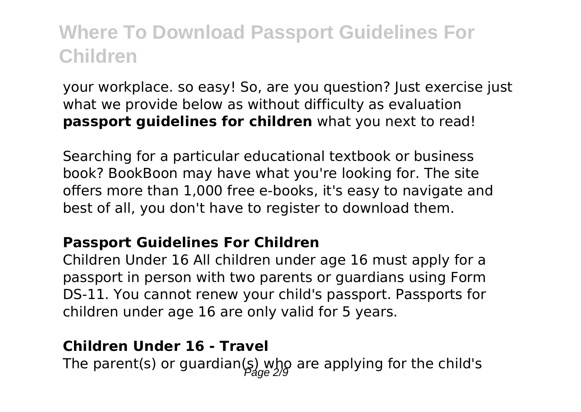your workplace. so easy! So, are you question? Just exercise just what we provide below as without difficulty as evaluation **passport guidelines for children** what you next to read!

Searching for a particular educational textbook or business book? BookBoon may have what you're looking for. The site offers more than 1,000 free e-books, it's easy to navigate and best of all, you don't have to register to download them.

#### **Passport Guidelines For Children**

Children Under 16 All children under age 16 must apply for a passport in person with two parents or guardians using Form DS-11. You cannot renew your child's passport. Passports for children under age 16 are only valid for 5 years.

#### **Children Under 16 - Travel**

The parent(s) or guardian(s) who are applying for the child's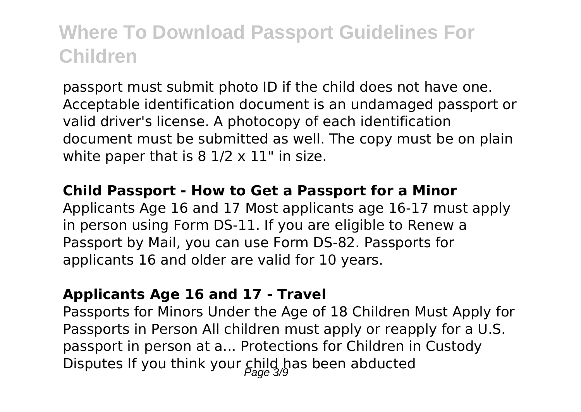passport must submit photo ID if the child does not have one. Acceptable identification document is an undamaged passport or valid driver's license. A photocopy of each identification document must be submitted as well. The copy must be on plain white paper that is  $8\frac{1}{2} \times 11$ " in size.

#### **Child Passport - How to Get a Passport for a Minor**

Applicants Age 16 and 17 Most applicants age 16-17 must apply in person using Form DS-11. If you are eligible to Renew a Passport by Mail, you can use Form DS-82. Passports for applicants 16 and older are valid for 10 years.

#### **Applicants Age 16 and 17 - Travel**

Passports for Minors Under the Age of 18 Children Must Apply for Passports in Person All children must apply or reapply for a U.S. passport in person at a... Protections for Children in Custody Disputes If you think your  $\mathsf{G}_{\mathsf{area}}^{\mathsf{hild}}$  has been abducted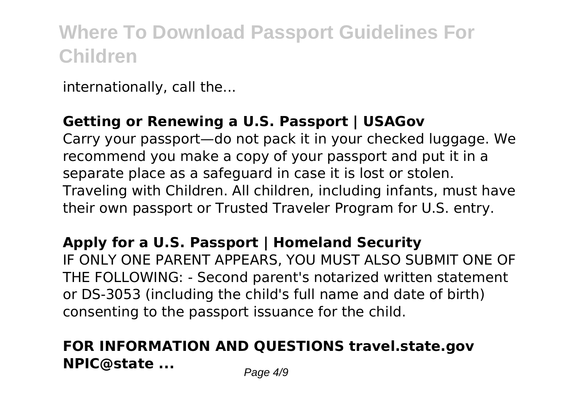internationally, call the...

### **Getting or Renewing a U.S. Passport | USAGov**

Carry your passport—do not pack it in your checked luggage. We recommend you make a copy of your passport and put it in a separate place as a safeguard in case it is lost or stolen. Traveling with Children. All children, including infants, must have their own passport or Trusted Traveler Program for U.S. entry.

### **Apply for a U.S. Passport | Homeland Security**

IF ONLY ONE PARENT APPEARS, YOU MUST ALSO SUBMIT ONE OF THE FOLLOWING: - Second parent's notarized written statement or DS-3053 (including the child's full name and date of birth) consenting to the passport issuance for the child.

### **FOR INFORMATION AND QUESTIONS travel.state.gov NPIC@state ...** Page 4/9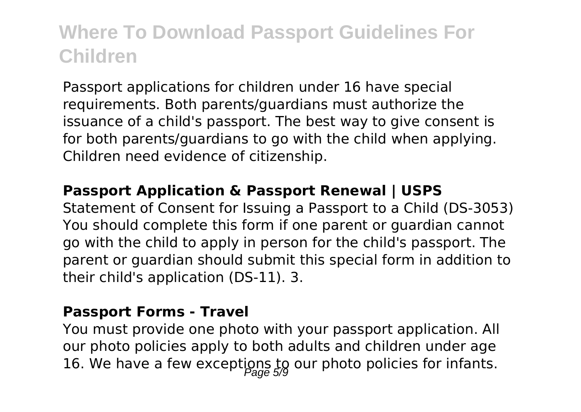Passport applications for children under 16 have special requirements. Both parents/guardians must authorize the issuance of a child's passport. The best way to give consent is for both parents/guardians to go with the child when applying. Children need evidence of citizenship.

#### **Passport Application & Passport Renewal | USPS**

Statement of Consent for Issuing a Passport to a Child (DS-3053) You should complete this form if one parent or guardian cannot go with the child to apply in person for the child's passport. The parent or guardian should submit this special form in addition to their child's application (DS-11). 3.

#### **Passport Forms - Travel**

You must provide one photo with your passport application. All our photo policies apply to both adults and children under age 16. We have a few exceptions to our photo policies for infants.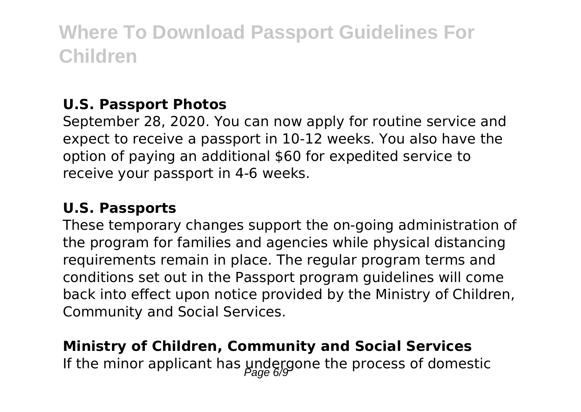### **U.S. Passport Photos**

September 28, 2020. You can now apply for routine service and expect to receive a passport in 10-12 weeks. You also have the option of paying an additional \$60 for expedited service to receive your passport in 4-6 weeks.

### **U.S. Passports**

These temporary changes support the on-going administration of the program for families and agencies while physical distancing requirements remain in place. The regular program terms and conditions set out in the Passport program guidelines will come back into effect upon notice provided by the Ministry of Children, Community and Social Services.

### **Ministry of Children, Community and Social Services** If the minor applicant has undergone the process of domestic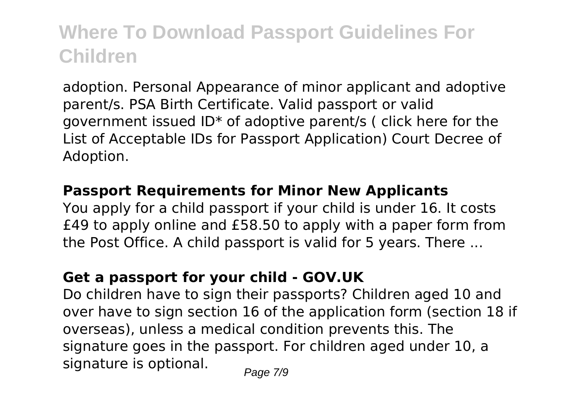adoption. Personal Appearance of minor applicant and adoptive parent/s. PSA Birth Certificate. Valid passport or valid government issued ID\* of adoptive parent/s ( click here for the List of Acceptable IDs for Passport Application) Court Decree of Adoption.

#### **Passport Requirements for Minor New Applicants**

You apply for a child passport if your child is under 16. It costs £49 to apply online and £58.50 to apply with a paper form from the Post Office. A child passport is valid for 5 years. There ...

### **Get a passport for your child - GOV.UK**

Do children have to sign their passports? Children aged 10 and over have to sign section 16 of the application form (section 18 if overseas), unless a medical condition prevents this. The signature goes in the passport. For children aged under 10, a signature is optional.  $_{Page\ 7/9}$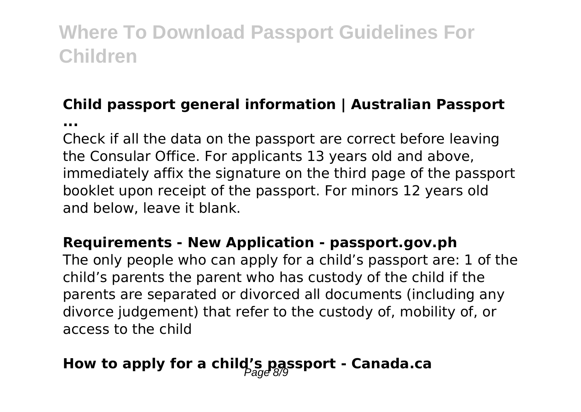# **Child passport general information | Australian Passport**

**...**

Check if all the data on the passport are correct before leaving the Consular Office. For applicants 13 years old and above, immediately affix the signature on the third page of the passport booklet upon receipt of the passport. For minors 12 years old and below, leave it blank.

### **Requirements - New Application - passport.gov.ph**

The only people who can apply for a child's passport are: 1 of the child's parents the parent who has custody of the child if the parents are separated or divorced all documents (including any divorce judgement) that refer to the custody of, mobility of, or access to the child

### How to apply for a child's passport - Canada.ca